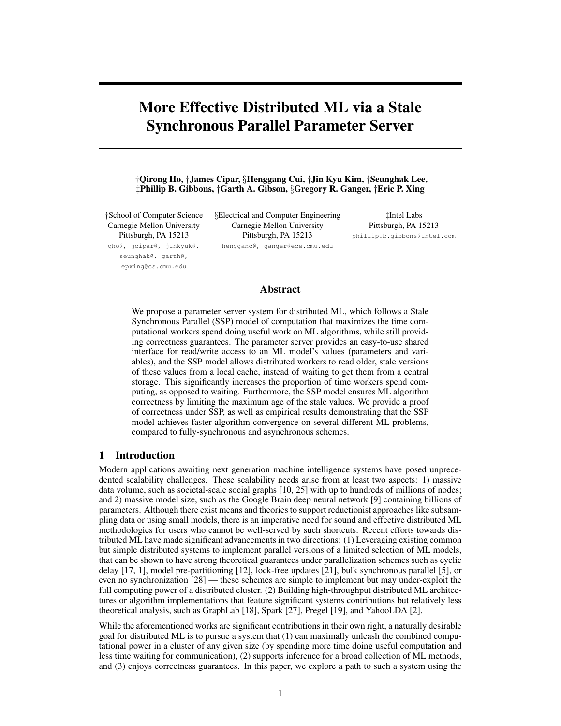# More Effective Distributed ML via a Stale Synchronous Parallel Parameter Server

*†*Qirong Ho, *†*James Cipar, *§*Henggang Cui, *†*Jin Kyu Kim, *†*Seunghak Lee, *‡*Phillip B. Gibbons, *†*Garth A. Gibson, *§*Gregory R. Ganger, *†*Eric P. Xing

*†*School of Computer Science Carnegie Mellon University Pittsburgh, PA 15213 qho@, jcipar@, jinkyuk@, seunghak@, garth@, epxing@cs.cmu.edu

*§*Electrical and Computer Engineering Carnegie Mellon University Pittsburgh, PA 15213 hengganc@, ganger@ece.cmu.edu

*‡*Intel Labs Pittsburgh, PA 15213 phillip.b.gibbons@intel.com

## Abstract

We propose a parameter server system for distributed ML, which follows a Stale Synchronous Parallel (SSP) model of computation that maximizes the time computational workers spend doing useful work on ML algorithms, while still providing correctness guarantees. The parameter server provides an easy-to-use shared interface for read/write access to an ML model's values (parameters and variables), and the SSP model allows distributed workers to read older, stale versions of these values from a local cache, instead of waiting to get them from a central storage. This significantly increases the proportion of time workers spend computing, as opposed to waiting. Furthermore, the SSP model ensures ML algorithm correctness by limiting the maximum age of the stale values. We provide a proof of correctness under SSP, as well as empirical results demonstrating that the SSP model achieves faster algorithm convergence on several different ML problems, compared to fully-synchronous and asynchronous schemes.

## 1 Introduction

Modern applications awaiting next generation machine intelligence systems have posed unprecedented scalability challenges. These scalability needs arise from at least two aspects: 1) massive data volume, such as societal-scale social graphs [10, 25] with up to hundreds of millions of nodes; and 2) massive model size, such as the Google Brain deep neural network [9] containing billions of parameters. Although there exist means and theories to support reductionist approaches like subsampling data or using small models, there is an imperative need for sound and effective distributed ML methodologies for users who cannot be well-served by such shortcuts. Recent efforts towards distributed ML have made significant advancements in two directions: (1) Leveraging existing common but simple distributed systems to implement parallel versions of a limited selection of ML models, that can be shown to have strong theoretical guarantees under parallelization schemes such as cyclic delay [17, 1], model pre-partitioning [12], lock-free updates [21], bulk synchronous parallel [5], or even no synchronization [28] — these schemes are simple to implement but may under-exploit the full computing power of a distributed cluster. (2) Building high-throughput distributed ML architectures or algorithm implementations that feature significant systems contributions but relatively less theoretical analysis, such as GraphLab [18], Spark [27], Pregel [19], and YahooLDA [2].

While the aforementioned works are significant contributions in their own right, a naturally desirable goal for distributed ML is to pursue a system that (1) can maximally unleash the combined computational power in a cluster of any given size (by spending more time doing useful computation and less time waiting for communication), (2) supports inference for a broad collection of ML methods, and (3) enjoys correctness guarantees. In this paper, we explore a path to such a system using the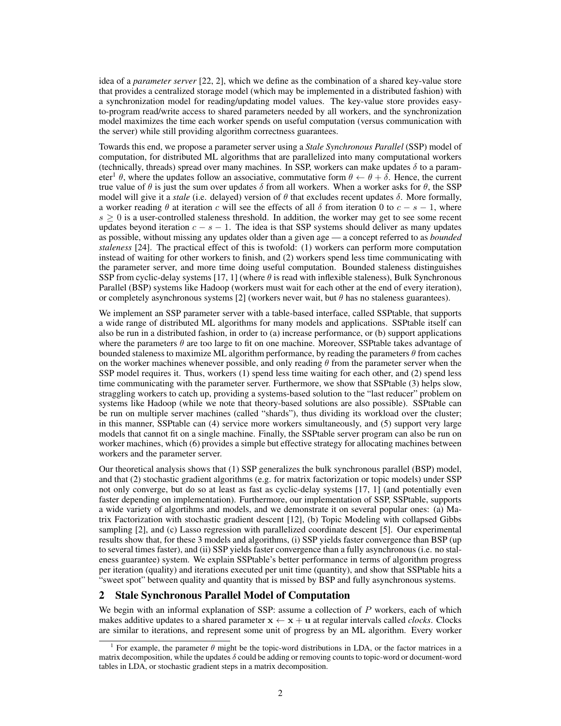idea of a *parameter server* [22, 2], which we define as the combination of a shared key-value store that provides a centralized storage model (which may be implemented in a distributed fashion) with a synchronization model for reading/updating model values. The key-value store provides easyto-program read/write access to shared parameters needed by all workers, and the synchronization model maximizes the time each worker spends on useful computation (versus communication with the server) while still providing algorithm correctness guarantees.

Towards this end, we propose a parameter server using a *Stale Synchronous Parallel* (SSP) model of computation, for distributed ML algorithms that are parallelized into many computational workers (technically, threads) spread over many machines. In SSP, workers can make updates  $\delta$  to a parameter<sup>1</sup>  $\theta$ , where the updates follow an associative, commutative form  $\theta \leftarrow \theta + \delta$ . Hence, the current true value of  $\theta$  is just the sum over updates  $\delta$  from all workers. When a worker asks for  $\theta$ , the SSP model will give it a *stale* (i.e. delayed) version of  $\theta$  that excludes recent updates  $\delta$ . More formally, a worker reading  $\theta$  at iteration *c* will see the effects of all  $\delta$  from iteration 0 to  $c - s - 1$ , where  $s \geq 0$  is a user-controlled staleness threshold. In addition, the worker may get to see some recent updates beyond iteration  $c - s - 1$ . The idea is that SSP systems should deliver as many updates as possible, without missing any updates older than a given age — a concept referred to as *bounded staleness* [24]. The practical effect of this is twofold: (1) workers can perform more computation instead of waiting for other workers to finish, and (2) workers spend less time communicating with the parameter server, and more time doing useful computation. Bounded staleness distinguishes SSP from cyclic-delay systems [17, 1] (where  $\theta$  is read with inflexible staleness), Bulk Synchronous Parallel (BSP) systems like Hadoop (workers must wait for each other at the end of every iteration), or completely asynchronous systems [2] (workers never wait, but  $\theta$  has no staleness guarantees).

We implement an SSP parameter server with a table-based interface, called SSPtable, that supports a wide range of distributed ML algorithms for many models and applications. SSPtable itself can also be run in a distributed fashion, in order to (a) increase performance, or (b) support applications where the parameters  $\theta$  are too large to fit on one machine. Moreover, SSPtable takes advantage of bounded staleness to maximize ML algorithm performance, by reading the parameters  $\theta$  from caches on the worker machines whenever possible, and only reading  $\theta$  from the parameter server when the SSP model requires it. Thus, workers (1) spend less time waiting for each other, and (2) spend less time communicating with the parameter server. Furthermore, we show that SSPtable (3) helps slow, straggling workers to catch up, providing a systems-based solution to the "last reducer" problem on systems like Hadoop (while we note that theory-based solutions are also possible). SSPtable can be run on multiple server machines (called "shards"), thus dividing its workload over the cluster; in this manner, SSPtable can (4) service more workers simultaneously, and (5) support very large models that cannot fit on a single machine. Finally, the SSPtable server program can also be run on worker machines, which (6) provides a simple but effective strategy for allocating machines between workers and the parameter server.

Our theoretical analysis shows that (1) SSP generalizes the bulk synchronous parallel (BSP) model, and that (2) stochastic gradient algorithms (e.g. for matrix factorization or topic models) under SSP not only converge, but do so at least as fast as cyclic-delay systems [17, 1] (and potentially even faster depending on implementation). Furthermore, our implementation of SSP, SSPtable, supports a wide variety of algortihms and models, and we demonstrate it on several popular ones: (a) Matrix Factorization with stochastic gradient descent [12], (b) Topic Modeling with collapsed Gibbs sampling [2], and (c) Lasso regression with parallelized coordinate descent [5]. Our experimental results show that, for these 3 models and algorithms, (i) SSP yields faster convergence than BSP (up to several times faster), and (ii) SSP yields faster convergence than a fully asynchronous (i.e. no staleness guarantee) system. We explain SSPtable's better performance in terms of algorithm progress per iteration (quality) and iterations executed per unit time (quantity), and show that SSPtable hits a "sweet spot" between quality and quantity that is missed by BSP and fully asynchronous systems.

# 2 Stale Synchronous Parallel Model of Computation

We begin with an informal explanation of SSP: assume a collection of *P* workers, each of which makes additive updates to a shared parameter  $x \leftarrow x + u$  at regular intervals called *clocks*. Clocks are similar to iterations, and represent some unit of progress by an ML algorithm. Every worker

<sup>&</sup>lt;sup>1</sup> For example, the parameter  $\theta$  might be the topic-word distributions in LDA, or the factor matrices in a matrix decomposition, while the updates  $\delta$  could be adding or removing counts to topic-word or document-word tables in LDA, or stochastic gradient steps in a matrix decomposition.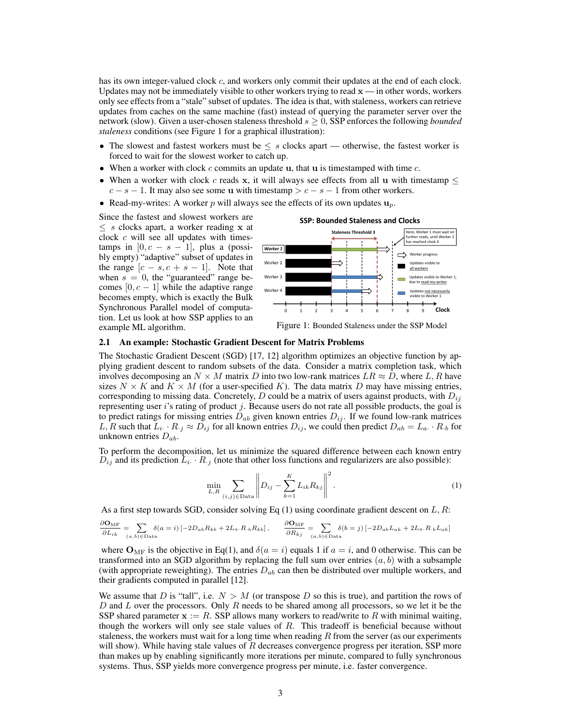has its own integer-valued clock *c*, and workers only commit their updates at the end of each clock. Updates may not be immediately visible to other workers trying to read  $x -$  in other words, workers only see effects from a "stale" subset of updates. The idea is that, with staleness, workers can retrieve updates from caches on the same machine (fast) instead of querying the parameter server over the network (slow). Given a user-chosen staleness threshold  $s \geq 0$ , SSP enforces the following *bounded staleness* conditions (see Figure 1 for a graphical illustration):

- The slowest and fastest workers must be  $\leq s$  clocks apart otherwise, the fastest worker is forced to wait for the slowest worker to catch up.
- *•* When a worker with clock *c* commits an update u, that u is timestamped with time *c*.
- When a worker with clock  $c$  reads x, it will always see effects from all u with timestamp  $\leq$  $c - s - 1$ . It may also see some u with timestamp  $>c - s - 1$  from other workers.
- Read-my-writes: A worker *p* will always see the effects of its own updates  $\mathbf{u}_p$ .

Since the fastest and slowest workers are  $\leq$  *s* clocks apart, a worker reading **x** at clock *c* will see all updates with timestamps in  $[0, c - s - 1]$ , plus a (possi-<br>bly empty) "adaptive" subset of updates in the range  $[c - s, c + s - 1]$ . Note that when  $s = 0$ , the "guaranteed" range becomes  $[0, c - 1]$  while the adaptive range becomes empty, which is exactly the Bulk Synchronous Parallel model of computation. Let us look at how SSP applies to an example ML algorithm.



Figure 1: Bounded Staleness under the SSP Model

### 2.1 An example: Stochastic Gradient Descent for Matrix Problems

The Stochastic Gradient Descent (SGD) [17, 12] algorithm optimizes an objective function by applying gradient descent to random subsets of the data. Consider a matrix completion task, which involves decomposing an  $N \times M$  matrix *D* into two low-rank matrices  $LR \approx D$ , where *L*, *R* have sizes  $N \times K$  and  $K \times M$  (for a user-specified K). The data matrix D may have missing entries, corresponding to missing data. Concretely, *D* could be a matrix of users against products, with  $D_{ij}$ representing user *i*'s rating of product *j*. Because users do not rate all possible products, the goal is to predict ratings for missing entries  $D_{ab}$  given known entries  $D_{ij}$ . If we found low-rank matrices L, R such that  $L_i \cdot R_{\cdot j} \approx D_{ij}$  for all known entries  $D_{ij}$ , we could then predict  $D_{ab} = L_a \cdot R_b$  for unknown entries *Dab*.

To perform the decomposition, let us minimize the squared difference between each known entry  $D_{ij}$  and its prediction  $\bar{L}_i \cdot R_{.j}$  (note that other loss functions and regularizers are also possible):

$$
\min_{L,R} \sum_{(i,j)\in \text{Data}} \left\| D_{ij} - \sum_{k=1}^{K} L_{ik} R_{kj} \right\|^2.
$$
 (1)

As a first step towards SGD, consider solving Eq (1) using coordinate gradient descent on *L, R*:

$$
\frac{\partial \mathbf{O}_{\mathrm{MF}}}{\partial L_{ik}} = \sum_{(a,b)\in \mathrm{Data}} \delta(a=i) \left[ -2D_{ab}R_{kb} + 2L_a \cdot R_{\cdot b}R_{kb} \right], \qquad \frac{\partial \mathbf{O}_{\mathrm{MF}}}{\partial R_{kj}} = \sum_{(a,b)\in \mathrm{Data}} \delta(b=j) \left[ -2D_{ab}L_{ak} + 2L_a \cdot R_{\cdot b}L_{ak} \right]
$$

where  $O_{MF}$  is the objective in Eq(1), and  $\delta(a = i)$  equals 1 if  $a = i$ , and 0 otherwise. This can be transformed into an SGD algorithm by replacing the full sum over entries  $(a, b)$  with a subsample (with appropriate reweighting). The entries *Dab* can then be distributed over multiple workers, and their gradients computed in parallel [12].

We assume that *D* is "tall", i.e.  $N > M$  (or transpose *D* so this is true), and partition the rows of *D* and *L* over the processors. Only *R* needs to be shared among all processors, so we let it be the SSP shared parameter  $x := R$ . SSP allows many workers to read/write to R with minimal waiting, though the workers will only see stale values of *R*. This tradeoff is beneficial because without staleness, the workers must wait for a long time when reading *R* from the server (as our experiments will show). While having stale values of *R* decreases convergence progress per iteration, SSP more than makes up by enabling significantly more iterations per minute, compared to fully synchronous systems. Thus, SSP yields more convergence progress per minute, i.e. faster convergence.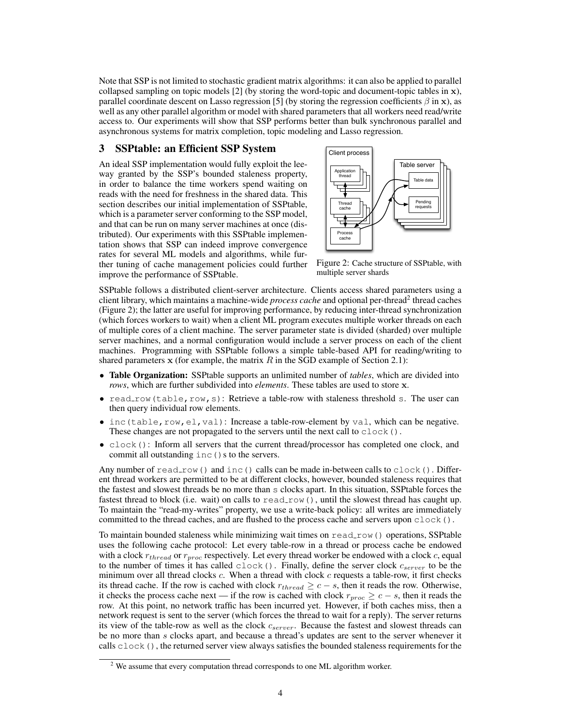Note that SSP is not limited to stochastic gradient matrix algorithms: it can also be applied to parallel collapsed sampling on topic models [2] (by storing the word-topic and document-topic tables in x), parallel coordinate descent on Lasso regression [5] (by storing the regression coefficients  $\beta$  in x), as well as any other parallel algorithm or model with shared parameters that all workers need read/write access to. Our experiments will show that SSP performs better than bulk synchronous parallel and asynchronous systems for matrix completion, topic modeling and Lasso regression.

# **3** SSPtable: an Efficient SSP System  $\sqrt{\frac{\text{Client process}}{\text{Client process}}}$

An ideal SSP implementation would fully exploit the leeway granted by the SSP's bounded staleness property, in order to balance the time workers spend waiting on reads with the need for freshness in the shared data. This section describes our initial implementation of SSPtable, which is a parameter server conforming to the SSP model, and that can be run on many server machines at once (distributed). Our experiments with this SSPtable implementation shows that SSP can indeed improve convergence rates for several ML models and algorithms, while further tuning of cache management policies could further improve the performance of SSPtable.



Figure 2: Cache structure of SSPtable, with multiple server shards

SSPtable follows a distributed client-server architecture. Clients access shared parameters using a client library, which maintains a machine-wide *process cache* and optional per-thread<sup>2</sup> thread caches (Figure 2); the latter are useful for improving performance, by reducing inter-thread synchronization (which forces workers to wait) when a client ML program executes multiple worker threads on each of multiple cores of a client machine. The server parameter state is divided (sharded) over multiple server machines, and a normal configuration would include a server process on each of the client machines. Programming with SSPtable follows a simple table-based API for reading/writing to shared parameters  $x$  (for example, the matrix  $R$  in the SGD example of Section 2.1):

- **Table Organization:** SSPtable supports an unlimited number of *tables*, which are divided into *rows*, which are further subdivided into *elements*. These tables are used to store x.
- read\_row(table,row,s): Retrieve a table-row with staleness threshold s. The user can then query individual row elements.
- inc(table, row, el, val): Increase a table-row-element by val, which can be negative. These changes are not propagated to the servers until the next call to clock().
- *•* clock(): Inform all servers that the current thread/processor has completed one clock, and commit all outstanding  $inc($ ) s to the servers.

Any number of read row() and inc() calls can be made in-between calls to clock(). Different thread workers are permitted to be at different clocks, however, bounded staleness requires that the fastest and slowest threads be no more than s clocks apart. In this situation, SSPtable forces the fastest thread to block (i.e. wait) on calls to read\_row(), until the slowest thread has caught up. To maintain the "read-my-writes" property, we use a write-back policy: all writes are immediately committed to the thread caches, and are flushed to the process cache and servers upon clock().

To maintain bounded staleness while minimizing wait times on read\_row() operations, SSPtable uses the following cache protocol: Let every table-row in a thread or process cache be endowed with a clock  $r_{thread}$  or  $r_{proc}$  respectively. Let every thread worker be endowed with a clock  $c$ , equal to the number of times it has called clock(). Finally, define the server clock *cserver* to be the minimum over all thread clocks *c*. When a thread with clock *c* requests a table-row, it first checks its thread cache. If the row is cached with clock  $r_{thread} \geq c - s$ , then it reads the row. Otherwise, it checks the process cache next — if the row is cached with clock  $r_{proc} \geq c - s$ , then it reads the row. At this point, no network traffic has been incurred yet. However, if both caches miss, then a network request is sent to the server (which forces the thread to wait for a reply). The server returns its view of the table-row as well as the clock *cserver*. Because the fastest and slowest threads can be no more than *s* clocks apart, and because a thread's updates are sent to the server whenever it calls clock (), the returned server view always satisfies the bounded staleness requirements for the

 $2$  We assume that every computation thread corresponds to one ML algorithm worker.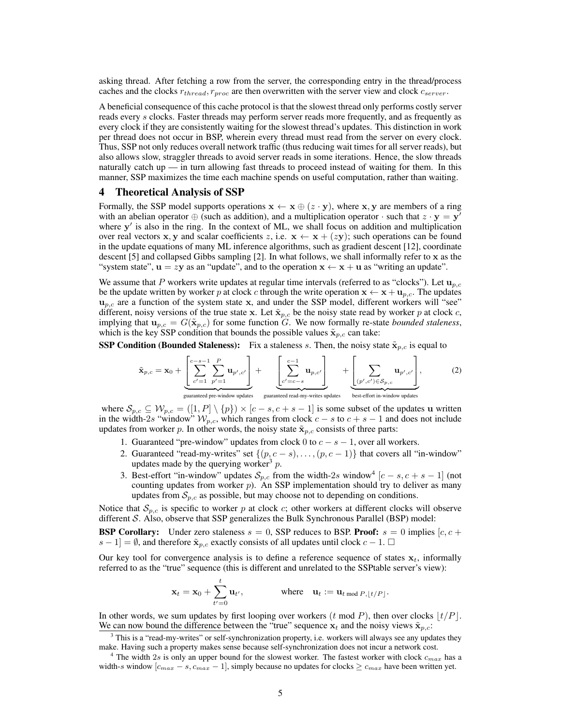asking thread. After fetching a row from the server, the corresponding entry in the thread/process caches and the clocks *rthread, rproc* are then overwritten with the server view and clock *cserver*.

A beneficial consequence of this cache protocol is that the slowest thread only performs costly server reads every *s* clocks. Faster threads may perform server reads more frequently, and as frequently as every clock if they are consistently waiting for the slowest thread's updates. This distinction in work per thread does not occur in BSP, wherein every thread must read from the server on every clock. Thus, SSP not only reduces overall network traffic (thus reducing wait times for all server reads), but also allows slow, straggler threads to avoid server reads in some iterations. Hence, the slow threads naturally catch up — in turn allowing fast threads to proceed instead of waiting for them. In this manner, SSP maximizes the time each machine spends on useful computation, rather than waiting.

#### 4 Theoretical Analysis of SSP

Formally, the SSP model supports operations  $\mathbf{x} \leftarrow \mathbf{x} \oplus (z \cdot \mathbf{y})$ , where  $\mathbf{x}, \mathbf{y}$  are members of a ring with an abelian operator  $\oplus$  (such as addition), and a multiplication operator  $\cdot$  such that  $z \cdot y = y$ where  $y'$  is also in the ring. In the context of ML, we shall focus on addition and multiplication over real vectors **x**, **y** and scalar coefficients *z*, i.e.  $\mathbf{x} \leftarrow \mathbf{x} + (z\mathbf{y})$ ; such operations can be found in the update equations of many ML inference algorithms, such as gradient descent [12], coordinate descent [5] and collapsed Gibbs sampling [2]. In what follows, we shall informally refer to x as the "system state",  $\mathbf{u} = z\mathbf{y}$  as an "update", and to the operation  $\mathbf{x} \leftarrow \mathbf{x} + \mathbf{u}$  as "writing an update".

We assume that *P* workers write updates at regular time intervals (referred to as "clocks"). Let  $\mathbf{u}_{p,c}$ be the update written by worker p at clock c through the write operation  $x \leftarrow x + u_{p,c}$ . The updates  $u_{p,c}$  are a function of the system state x, and under the SSP model, different workers will "see" different, noisy versions of the true state x. Let  $\tilde{\mathbf{x}}_{p,c}$  be the noisy state read by worker p at clock c, implying that  $\mathbf{u}_{p,c} = G(\tilde{\mathbf{x}}_{p,c})$  for some function *G*. We now formally re-state *bounded staleness*, which is the key SSP condition that bounds the possible values  $\tilde{\mathbf{x}}_{p,c}$  can take:

**SSP Condition (Bounded Staleness):** Fix a staleness *s*. Then, the noisy state  $\tilde{\mathbf{x}}_{p,c}$  is equal to

$$
\tilde{\mathbf{x}}_{p,c} = \mathbf{x}_0 + \underbrace{\left[\sum_{c'=1}^{c-s-1} \sum_{p'=1}^P \mathbf{u}_{p',c'}\right]}_{\text{guaranteed pre-window updates}} + \underbrace{\left[\sum_{c'=c-s}^{c-1} \mathbf{u}_{p,c'}\right]}_{\text{guaranteed tree-window updates}} + \underbrace{\left[\sum_{(p',c') \in S_{p,c}} \mathbf{u}_{p',c'}\right]}_{\text{best-effort in-window updates}},
$$
\n(2)

where  $S_{p,c} \subseteq W_{p,c} = ([1, P] \setminus \{p\}) \times [c-s, c+s-1]$  is some subset of the updates u written in the width-2*s* "window"  $W_{p,c}$ , which ranges from clock  $c - s$  to  $c + s - 1$  and does not include updates from worker *p*. In other words, the noisy state  $\tilde{\mathbf{x}}_{p,c}$  consists of three parts:

- 1. Guaranteed "pre-window" updates from clock 0 to  $c s 1$ , over all workers.
- 2. Guaranteed "read-my-writes" set  $\{(p, c s), \ldots, (p, c 1)\}\$  that covers all "in-window" updates made by the querying worker<sup>3</sup>  $p$ .
- 3. Best-effort "in-window" updates  $S_{p,c}$  from the width-2*s* window<sup>4</sup>  $[c s, c + s 1]$  (not counting updates from worker  $p$ ). An SSP implementation should try to deliver as many updates from  $S_{p,c}$  as possible, but may choose not to depending on conditions.

Notice that  $S_{p,c}$  is specific to worker *p* at clock *c*; other workers at different clocks will observe different *S*. Also, observe that SSP generalizes the Bulk Synchronous Parallel (BSP) model:

**BSP Corollary:** Under zero staleness  $s = 0$ , SSP reduces to BSP. **Proof:**  $s = 0$  implies  $[c, c + 1]$  $s - 1$  =  $\emptyset$ , and therefore  $\tilde{\mathbf{x}}_{p,c}$  exactly consists of all updates until clock  $c - 1$ .  $\Box$ 

Our key tool for convergence analysis is to define a reference sequence of states  $x_t$ , informally referred to as the "true" sequence (this is different and unrelated to the SSPtable server's view):

$$
\mathbf{x}_t = \mathbf{x}_0 + \sum_{t'=0}^t \mathbf{u}_{t'}, \qquad \text{where} \quad \mathbf{u}_t := \mathbf{u}_{t \bmod P, \lfloor t/P \rfloor}.
$$

In other words, we sum updates by first looping over workers  $(t \mod P)$ , then over clocks  $|t/P|$ . We can now bound the difference between the "true" sequence  $x_t$  and the noisy views  $\tilde{x}_{p,c}$ .

 $3$  This is a "read-my-writes" or self-synchronization property, i.e. workers will always see any updates they make. Having such a property makes sense because self-synchronization does not incur a network cost.

<sup>4</sup> The width 2*s* is only an upper bound for the slowest worker. The fastest worker with clock *cmax* has a width-*s* window  $[c_{max} - s, c_{max} - 1]$ , simply because no updates for clocks  $\geq c_{max}$  have been written yet.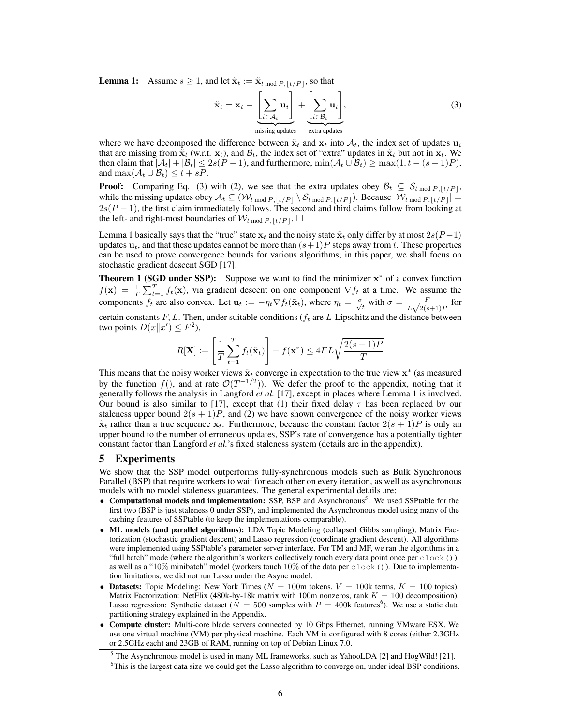**Lemma 1:** Assume  $s \ge 1$ , and let  $\tilde{\mathbf{x}}_t := \tilde{\mathbf{x}}_{t \mod P, |t/P|}$ , so that

$$
\tilde{\mathbf{x}}_t = \mathbf{x}_t - \underbrace{\left[\sum_{i \in A_t} \mathbf{u}_i\right]}_{\text{missing updates}} + \underbrace{\left[\sum_{i \in B_t} \mathbf{u}_i\right]}_{\text{extra updates}},
$$
\n(3)

where we have decomposed the difference between  $\tilde{\mathbf{x}}_t$  and  $\mathbf{x}_t$  into  $A_t$ , the index set of updates  $\mathbf{u}_i$ that are missing from  $\tilde{\mathbf{x}}_t$  (w.r.t.  $\mathbf{x}_t$ ), and  $\mathcal{B}_t$ , the index set of "extra" updates in  $\tilde{\mathbf{x}}_t$  but not in  $\mathbf{x}_t$ . We then claim that  $|\mathcal{A}_t| + |\mathcal{B}_t| \leq 2s(P-1)$ , and furthermore,  $\min(\mathcal{A}_t \cup \mathcal{B}_t) \geq \max(1, t - (s+1)P)$ , and  $\max(\mathcal{A}_t \cup \mathcal{B}_t) \leq t + sP$ .

**Proof:** Comparing Eq. (3) with (2), we see that the extra updates obey  $\mathcal{B}_t \subseteq \mathcal{S}_{t \mod P, \lfloor t/P \rfloor}$ , while the missing updates obey  $A_t \subseteq (\mathcal{W}_{t \mod P, \lfloor t/P \rfloor} \setminus \mathcal{S}_{t \mod P, \lfloor t/P \rfloor})$ . Because  $|\mathcal{W}_{t \mod P, \lfloor t/P \rfloor}| =$  $2s(P-1)$ , the first claim immediately follows. The second and third claims follow from looking at the left- and right-most boundaries of  $W_{t \text{ mod } P, |t/P|}$ .  $\Box$ 

Lemma 1 basically says that the "true" state  $x_t$  and the noisy state  $\tilde{x}_t$  only differ by at most  $2s(P-1)$ updates  $u_t$ , and that these updates cannot be more than  $(s+1)P$  steps away from *t*. These properties can be used to prove convergence bounds for various algorithms; in this paper, we shall focus on stochastic gradient descent SGD [17]:

**Theorem 1 (SGD under SSP):** Suppose we want to find the minimizer  $x^*$  of a convex function  $f(\mathbf{x}) = \frac{1}{T} \sum_{t=1}^{T} f_t(\mathbf{x})$ , via gradient descent on one component  $\nabla f_t$  at a time. We assume the components  $f_t$  are also convex. Let  $\mathbf{u}_t := -\eta_t \nabla f_t(\tilde{\mathbf{x}}_t)$ , where  $\eta_t = \frac{\sigma}{\sqrt{t}}$  with  $\sigma = \frac{F}{L\sqrt{2(s+1)P}}$  for certain constants *F, L*. Then, under suitable conditions (*f<sup>t</sup>* are *L*-Lipschitz and the distance between two points  $D(x||x') \leq F^2$ ),

$$
R[\mathbf{X}] := \left[\frac{1}{T} \sum_{t=1}^{T} f_t(\tilde{\mathbf{x}}_t)\right] - f(\mathbf{x}^*) \le 4FL\sqrt{\frac{2(s+1)P}{T}}
$$

This means that the noisy worker views  $\tilde{\mathbf{x}}_t$  converge in expectation to the true view  $\mathbf{x}^*$  (as measured by the function  $f($ ), and at rate  $\mathcal{O}(T^{-1/2})$ ). We defer the proof to the appendix, noting that it generally follows the analysis in Langford *et al.* [17], except in places where Lemma 1 is involved. Our bound is also similar to [17], except that (1) their fixed delay  $\tau$  has been replaced by our staleness upper bound  $2(s + 1)P$ , and (2) we have shown convergence of the noisy worker views  $\tilde{\mathbf{x}}_t$  rather than a true sequence  $\mathbf{x}_t$ . Furthermore, because the constant factor  $2(s + 1)P$  is only an upper bound to the number of erroneous updates, SSP's rate of convergence has a potentially tighter constant factor than Langford *et al.*'s fixed staleness system (details are in the appendix).

### 5 Experiments

We show that the SSP model outperforms fully-synchronous models such as Bulk Synchronous Parallel (BSP) that require workers to wait for each other on every iteration, as well as asynchronous models with no model staleness guarantees. The general experimental details are:

- Computational models and implementation: SSP, BSP and Asynchronous<sup>5</sup>. We used SSPtable for the first two (BSP is just staleness 0 under SSP), and implemented the Asynchronous model using many of the caching features of SSPtable (to keep the implementations comparable).
- ML models (and parallel algorithms): LDA Topic Modeling (collapsed Gibbs sampling), Matrix Factorization (stochastic gradient descent) and Lasso regression (coordinate gradient descent). All algorithms were implemented using SSPtable's parameter server interface. For TM and MF, we ran the algorithms in a "full batch" mode (where the algorithm's workers collectively touch every data point once per clock()), as well as a "10% minibatch" model (workers touch  $10\%$  of the data per clock()). Due to implementation limitations, we did not run Lasso under the Async model.
- Datasets: Topic Modeling: New York Times ( $N = 100$ m tokens,  $V = 100k$  terms,  $K = 100$  topics), Matrix Factorization: NetFlix (480k-by-18k matrix with 100m nonzeros, rank  $K = 100$  decomposition), Lasso regression: Synthetic dataset ( $\dot{N} = 500$  samples with  $P = 400$ k features<sup>6</sup>). We use a static data partitioning strategy explained in the Appendix.
- Compute cluster: Multi-core blade servers connected by 10 Gbps Ethernet, running VMware ESX. We use one virtual machine (VM) per physical machine. Each VM is configured with 8 cores (either 2.3GHz or 2.5GHz each) and 23GB of RAM, running on top of Debian Linux 7.0.

<sup>5</sup> The Asynchronous model is used in many ML frameworks, such as YahooLDA [2] and HogWild! [21].

<sup>&</sup>lt;sup>6</sup>This is the largest data size we could get the Lasso algorithm to converge on, under ideal BSP conditions.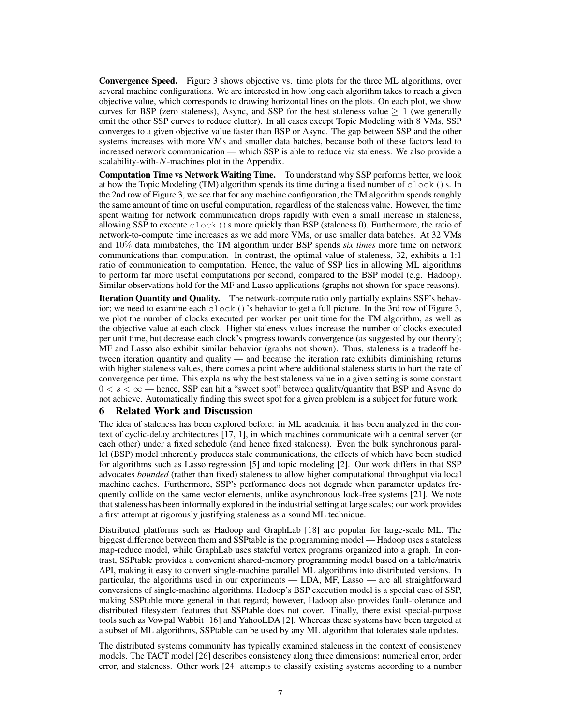Convergence Speed. Figure 3 shows objective vs. time plots for the three ML algorithms, over several machine configurations. We are interested in how long each algorithm takes to reach a given objective value, which corresponds to drawing horizontal lines on the plots. On each plot, we show curves for BSP (zero staleness), Async, and SSP for the best staleness value  $\geq 1$  (we generally omit the other SSP curves to reduce clutter). In all cases except Topic Modeling with 8 VMs, SSP converges to a given objective value faster than BSP or Async. The gap between SSP and the other systems increases with more VMs and smaller data batches, because both of these factors lead to increased network communication — which SSP is able to reduce via staleness. We also provide a scalability-with-*N*-machines plot in the Appendix.

Computation Time vs Network Waiting Time. To understand why SSP performs better, we look at how the Topic Modeling (TM) algorithm spends its time during a fixed number of  $\text{clock}(s)$ . In the 2nd row of Figure 3, we see that for any machine configuration, the TM algorithm spends roughly the same amount of time on useful computation, regardless of the staleness value. However, the time spent waiting for network communication drops rapidly with even a small increase in staleness, allowing SSP to execute  $\text{clock}(x)$  s more quickly than BSP (staleness 0). Furthermore, the ratio of network-to-compute time increases as we add more VMs, or use smaller data batches. At 32 VMs and 10% data minibatches, the TM algorithm under BSP spends *six times* more time on network communications than computation. In contrast, the optimal value of staleness, 32, exhibits a 1:1 ratio of communication to computation. Hence, the value of SSP lies in allowing ML algorithms to perform far more useful computations per second, compared to the BSP model (e.g. Hadoop). Similar observations hold for the MF and Lasso applications (graphs not shown for space reasons).

Iteration Quantity and Quality. The network-compute ratio only partially explains SSP's behavior; we need to examine each clock()'s behavior to get a full picture. In the 3rd row of Figure 3, we plot the number of clocks executed per worker per unit time for the TM algorithm, as well as the objective value at each clock. Higher staleness values increase the number of clocks executed per unit time, but decrease each clock's progress towards convergence (as suggested by our theory); MF and Lasso also exhibit similar behavior (graphs not shown). Thus, staleness is a tradeoff between iteration quantity and quality — and because the iteration rate exhibits diminishing returns with higher staleness values, there comes a point where additional staleness starts to hurt the rate of convergence per time. This explains why the best staleness value in a given setting is some constant  $0 < s < \infty$ —hence, SSP can hit a "sweet spot" between quality/quantity that BSP and Async do not achieve. Automatically finding this sweet spot for a given problem is a subject for future work.

# 6 Related Work and Discussion

The idea of staleness has been explored before: in ML academia, it has been analyzed in the context of cyclic-delay architectures [17, 1], in which machines communicate with a central server (or each other) under a fixed schedule (and hence fixed staleness). Even the bulk synchronous parallel (BSP) model inherently produces stale communications, the effects of which have been studied for algorithms such as Lasso regression [5] and topic modeling [2]. Our work differs in that SSP advocates *bounded* (rather than fixed) staleness to allow higher computational throughput via local machine caches. Furthermore, SSP's performance does not degrade when parameter updates frequently collide on the same vector elements, unlike asynchronous lock-free systems [21]. We note that staleness has been informally explored in the industrial setting at large scales; our work provides a first attempt at rigorously justifying staleness as a sound ML technique.

Distributed platforms such as Hadoop and GraphLab [18] are popular for large-scale ML. The biggest difference between them and SSPtable is the programming model — Hadoop uses a stateless map-reduce model, while GraphLab uses stateful vertex programs organized into a graph. In contrast, SSPtable provides a convenient shared-memory programming model based on a table/matrix API, making it easy to convert single-machine parallel ML algorithms into distributed versions. In particular, the algorithms used in our experiments — LDA, MF, Lasso — are all straightforward conversions of single-machine algorithms. Hadoop's BSP execution model is a special case of SSP, making SSPtable more general in that regard; however, Hadoop also provides fault-tolerance and distributed filesystem features that SSPtable does not cover. Finally, there exist special-purpose tools such as Vowpal Wabbit [16] and YahooLDA [2]. Whereas these systems have been targeted at a subset of ML algorithms, SSPtable can be used by any ML algorithm that tolerates stale updates.

The distributed systems community has typically examined staleness in the context of consistency models. The TACT model [26] describes consistency along three dimensions: numerical error, order error, and staleness. Other work [24] attempts to classify existing systems according to a number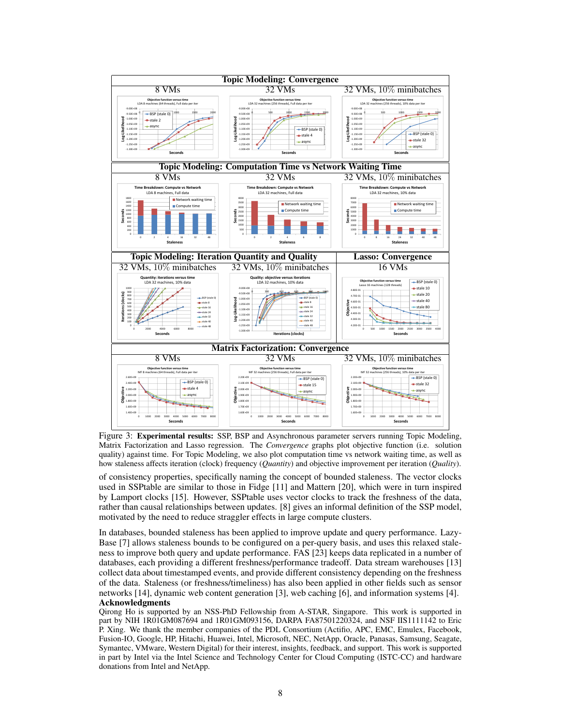

Figure 3: Experimental results: SSP, BSP and Asynchronous parameter servers running Topic Modeling, Matrix Factorization and Lasso regression. The *Convergence* graphs plot objective function (i.e. solution quality) against time. For Topic Modeling, we also plot computation time vs network waiting time, as well as how staleness affects iteration (clock) frequency (*Quantity*) and objective improvement per iteration (*Quality*).

of consistency properties, specifically naming the concept of bounded staleness. The vector clocks used in SSPtable are similar to those in Fidge [11] and Mattern [20], which were in turn inspired by Lamport clocks [15]. However, SSPtable uses vector clocks to track the freshness of the data, rather than causal relationships between updates. [8] gives an informal definition of the SSP model, motivated by the need to reduce straggler effects in large compute clusters.

In databases, bounded staleness has been applied to improve update and query performance. Lazy-Base [7] allows staleness bounds to be configured on a per-query basis, and uses this relaxed staleness to improve both query and update performance. FAS [23] keeps data replicated in a number of databases, each providing a different freshness/performance tradeoff. Data stream warehouses [13] collect data about timestamped events, and provide different consistency depending on the freshness of the data. Staleness (or freshness/timeliness) has also been applied in other fields such as sensor networks [14], dynamic web content generation [3], web caching [6], and information systems [4]. Acknowledgments

Qirong Ho is supported by an NSS-PhD Fellowship from A-STAR, Singapore. This work is supported in part by NIH 1R01GM087694 and 1R01GM093156, DARPA FA87501220324, and NSF IIS1111142 to Eric P. Xing. We thank the member companies of the PDL Consortium (Actifio, APC, EMC, Emulex, Facebook, Fusion-IO, Google, HP, Hitachi, Huawei, Intel, Microsoft, NEC, NetApp, Oracle, Panasas, Samsung, Seagate, Symantec, VMware, Western Digital) for their interest, insights, feedback, and support. This work is supported in part by Intel via the Intel Science and Technology Center for Cloud Computing (ISTC-CC) and hardware donations from Intel and NetApp.